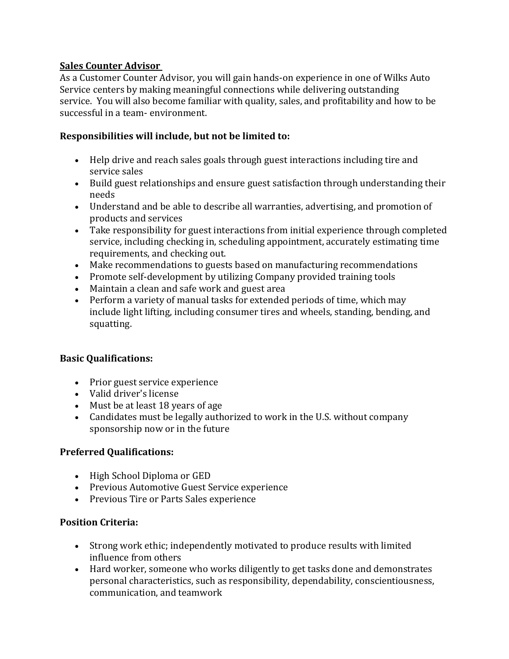## **Sales Counter Advisor**

As a Customer Counter Advisor, you will gain hands-on experience in one of Wilks Auto Service centers by making meaningful connections while delivering outstanding service. You will also become familiar with quality, sales, and profitability and how to be successful in a team- environment.

# **Responsibilities will include, but not be limited to:**

- Help drive and reach sales goals through guest interactions including tire and service sales
- Build guest relationships and ensure guest satisfaction through understanding their needs
- Understand and be able to describe all warranties, advertising, and promotion of products and services
- Take responsibility for guest interactions from initial experience through completed service, including checking in, scheduling appointment, accurately estimating time requirements, and checking out.
- Make recommendations to guests based on manufacturing recommendations
- Promote self-development by utilizing Company provided training tools
- Maintain a clean and safe work and guest area
- Perform a variety of manual tasks for extended periods of time, which may include light lifting, including consumer tires and wheels, standing, bending, and squatting.

## **Basic Qualifications:**

- Prior guest service experience
- Valid driver's license
- Must be at least 18 years of age
- Candidates must be legally authorized to work in the U.S. without company sponsorship now or in the future

## **Preferred Qualifications:**

- High School Diploma or GED
- Previous Automotive Guest Service experience
- Previous Tire or Parts Sales experience

## **Position Criteria:**

- Strong work ethic; independently motivated to produce results with limited influence from others
- Hard worker, someone who works diligently to get tasks done and demonstrates personal characteristics, such as responsibility, dependability, conscientiousness, communication, and teamwork